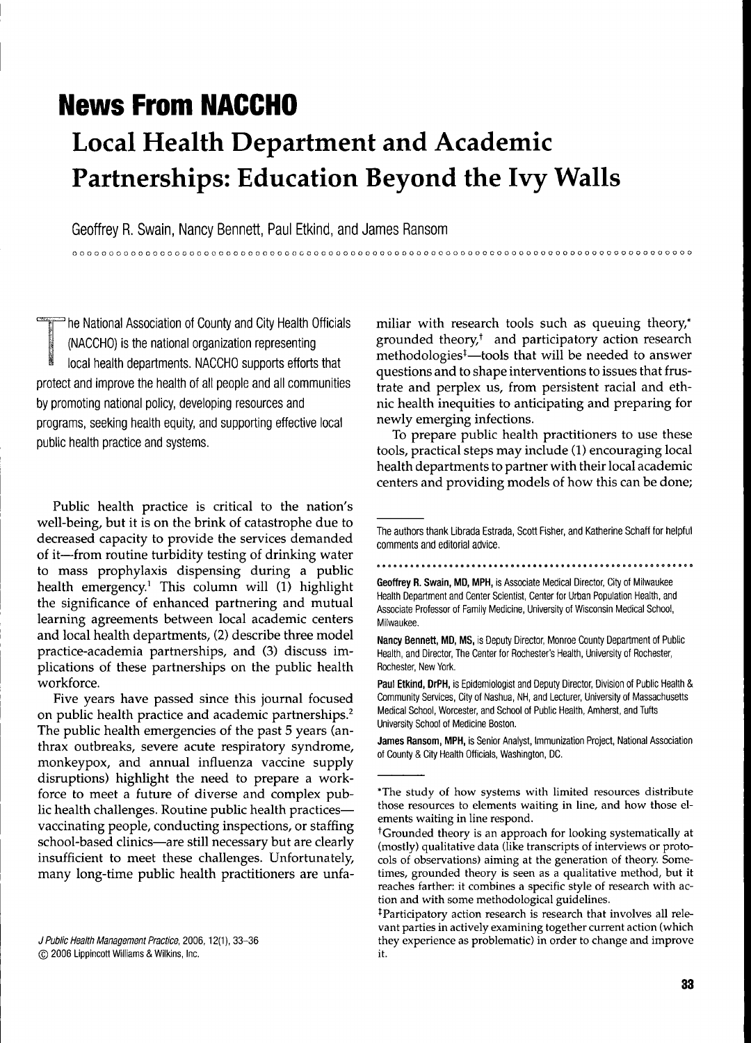# **News From NACCHO Local Health Department and Academic Partnerships: Education Beyond the Ivy Walls**

OOOOOOOOOOOOOOOOOOOOOOOOOOOOOOOGOOOOOOOOOOOOOOOOOOCOOOOOOOOOOOOOOOOOOOOOOOOOOOOOOOOO O

Geoffrey R, Swain, Nancy Bennett, Paul Etkind, and James Ransom

' he National Association of County and City Heaith Officiais (NACCHO) is the nationai organization representing local health departments. NACCHO supports efforts that protect and improve the health of all people and all communities by promoting national policy, developing resources and programs, seeking health equity, and supporting effective local public health practice and systems.

Public health practice is critical to the nation's well-being, but it is on the brink of catastrophe due to decreased capacity to provide the services demanded of it—from routine turbidity testing of drinking water to mass prophylaxis dispensing during a public health emergency' This column will (1) highlight the significance of enhanced partnering and mutual learning agreements between local academic centers and local health departments, (2) describe three model practice-academia partnerships, and (3) discuss implications of these partnerships on the public health workforce.

Five years have passed since this journal focused on public health practice and academic partnerships.<sup>2</sup> The public health emergencies of the past 5 years (anthrax outbreaks, severe acute respiratory syndrome, monkeypox, and annual influenza vaccine supply disruptions) highlight the need to prepare a workforce to meet a future of diverse and complex public health challenges. Routine public health practices vaccinating people, conducting inspections, or staffing school-based clinics—are still necessary but are clearly insufficient to meet these challenges. Unfortunately, many long-time public health practitioners are unfa-

J Public Health Management Practice, 2006,12(1), 33-36 © 2006 Lippincott Williams & Wilkins, Inc.

miliar with research tools such as queuing theory,\* grounded theory, $<sup>†</sup>$  and participatory action research</sup> methodologies\*—tools that will be needed to answer questions and to shape interventions to issues that frustrate and perplex us, from persistent racial and ethnic health inequities to anticipating and preparing for newly emerging infections.

To prepare public health practitioners to use these tools, practical steps may include (1) encouraging local health departments to partner with their local academic centers and providing models of how this can be done;

**James Ransom, MPH,** is Senior Analyst, Immunization Project, National Association of County & Cify Health Officials, Washington, DC.

The authors thank Librada Estrada, Scott Fisher, and Katherine Schatf tor helptui comments and editorial advice.

**Geoffrey R. Swain, MD, MPH,** is Associate Medical Director, City of Milwaukee Health Department and Center Scientist, Center tor Urban Population Health, and Associate Protessor of Family Medicine, University of Wisconsin Medical School, Milwaukee.

**Nancy Bennett, MD, MS,** is Deputy Director, Monroe County Department ot Pubiic Heaith, and Director, The Center for Rochester's Health, University of Rochester, Rochester, New York.

**Paul Etkind, DrPH,** is Epidemiologist and Deputy Director, Division of Public Health & Community Services, City of Nashua, NH, and Lecturer, University of Massachusetts Medical Schooi, Worcester, and School of Public Health, Amherst, and Tufts University School of Medicine Boston.

<sup>\*</sup>The study of how systems with hmited resources distribute those resources to elements waiting in line, and how those elements waiting in line respond.

<sup>+</sup>Grounded theory is an approach for looking systematically at (mostly) qualitative data (like transcripts of interviews or protocols of observations) aiming at the generation of theory. Sometimes, grounded theory is seen as a qualitative method, but it reaches farther: it combines a specific style of research with action and with some methodological guidelines.

<sup>&#</sup>x27;•Participatory action research is research that involves all relevant parties in actively examining together current action (which they experience as problematic) in order to change and improve it.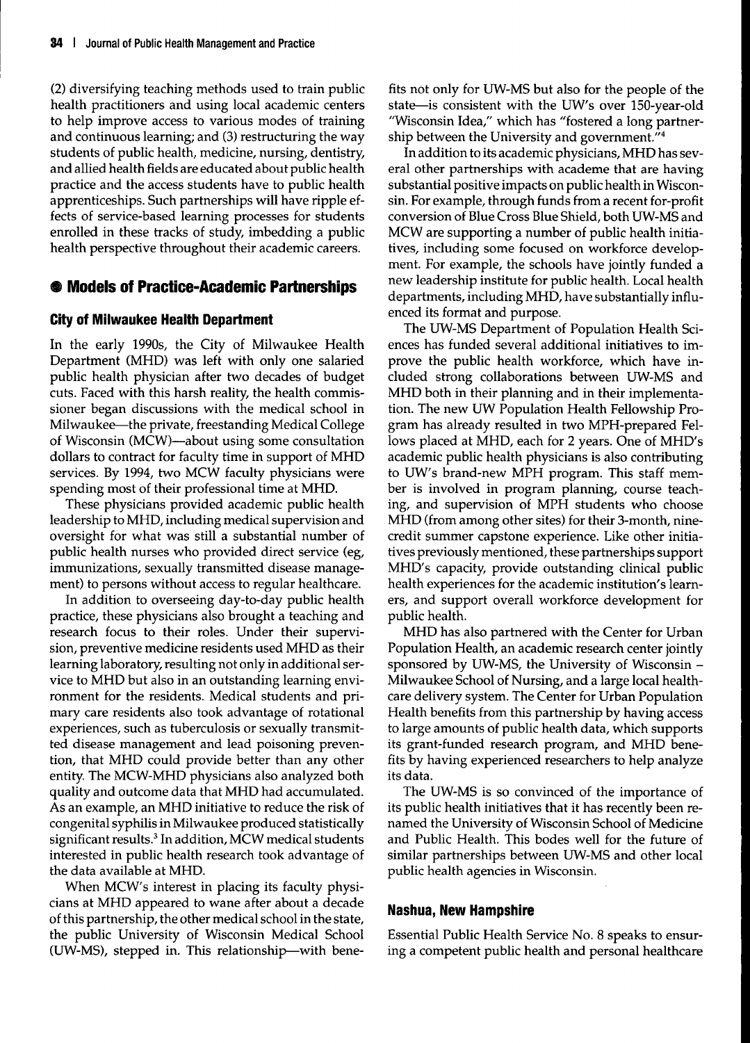(2) diversifying teaching methods used to train public health practitioners and using local academic centers to help improve access to various modes of training and continuous learning; and (3) restructuring the way students of public health, medicine, nursing, dentistry, and allied health fields are educated about public health practice and the access students have to public health apprenticeships. Such partnerships will have ripple effects of service-based learning processes for students enrolled in these tracks of study, imbedding a public health perspective throughout their academic careers.

# **• Models of Practice-Academic Partnerships**

## **City of Milwaukee Health Department**

In the early 1990s, the City of Milwaukee Health Department (MHD) was left with only one salaried public health physician after two decades of budget cuts. Faced with this harsh reality, the health commissioner began discussions with the medical school in Milwaukee—the private, freestanding Medical College of Wisconsin (MCW)—about using some consultation dollars to contract for faculty time in support of MHD services. By 1994, two MCW faculty physicians were spending most of their professional time at MHD.

These physicians provided academic public health leadership to MHD, including medical supervision and oversight for what was still a substantial number of public health nurses who provided direct service (eg, immunizations, sexually transmitted disease management) to persons without access to regular healthcare.

In addition to overseeing day-to-day public health practice, these physicians also brought a teaching and research focus to their roles. Under their supervision, preventive medicine residents used MHD as their learning laboratory, resulting not only in additional service to MHD but also in an outstanding learning environment for the residents. Medical students and primary care residents also took advantage of rotational experiences, such as tuberculosis or sexually transmitted disease management and lead poisoning prevention, that MHD could provide better than any other entity. The MCW-MHD physicians also analyzed both quality and outcome data that MHD had accumulated. As an example, an MHD initiative to reduce the risk of congenital syphilis in Milwaukee produced statistically significant results. $3$  In addition, MCW medical students interested in public health research took advantage of the data available at MHD.

When MCW's interest in placing its faculty physicians at MHD appeared to wane after about a decade of this partnership, the other medical school in the state, the public University of Wisconsin Medical School (UW-MS), stepped in. This relationship—with benefits not only for UW-MS but also for the people of the state—is consistent with the UW's over 150-year-old "Wisconsin Idea," which has "fostered a long partnership between the University and government."'\*

In addition to its academic physicians, MHD has several other partnerships with academe that are having substantial positive impacts on public health in Wisconsin. For example, through funds from a recent for-profit conversion of Blue Cross Blue Shield, both UW-MS and MCW are supporting a number of public health initiatives, including some focused on workforce development. For example, the schools have jointly funded a new leadership institute for public health. Local health departments, including MHD, have substantially influenced its format and purpose.

The UW-MS Department of Population Health Sciences has funded several additional initiatives to improve the public health workforce, which have included strong collaborations between UW-MS and MHD both in their planning and in their implementation. The new UW Population Health Fellowship Program has already resulted in two MPH-prepared Fellows placed at MHD, each for 2 years. One of MHD's academic public health physicians is also contributing to UW's brand-new MPH program. This staff member is involved in program planning, course teaching, and supervision of MPH students who choose MHD (from among other sites) for their 3-month, ninecredit summer capstone experience. Like other initiatives previously mentioned, these partnerships support MHD's capacity, provide outstanding clinical public health experiences for the academic institution's learners, and support overall workforce development for public health.

MHD has also partnered with the Center for Urban Population Health, an academic research center jointly sponsored by UW-MS, the University of Wisconsin - Milwaukee School of Nursing, and a large local healthcare delivery system. The Center for Urban Population Health benefits from this partnership by having access to large amounts of public health data, which supports its grant-funded research program, and MHD benefits by having experienced researchers to help analyze its data.

The UW-MS is so convinced of the importance of its public health initiatives that it has recently been renamed the University of Wisconsin School of Medicine and Public Health. This bodes well for the future of similar partnerships between UW-MS and other local public health agencies in Wisconsin.

### **Nashua, New Hampshire**

Essential Public Health Service No. 8 speaks to ensuring a competent public health and personal healthcare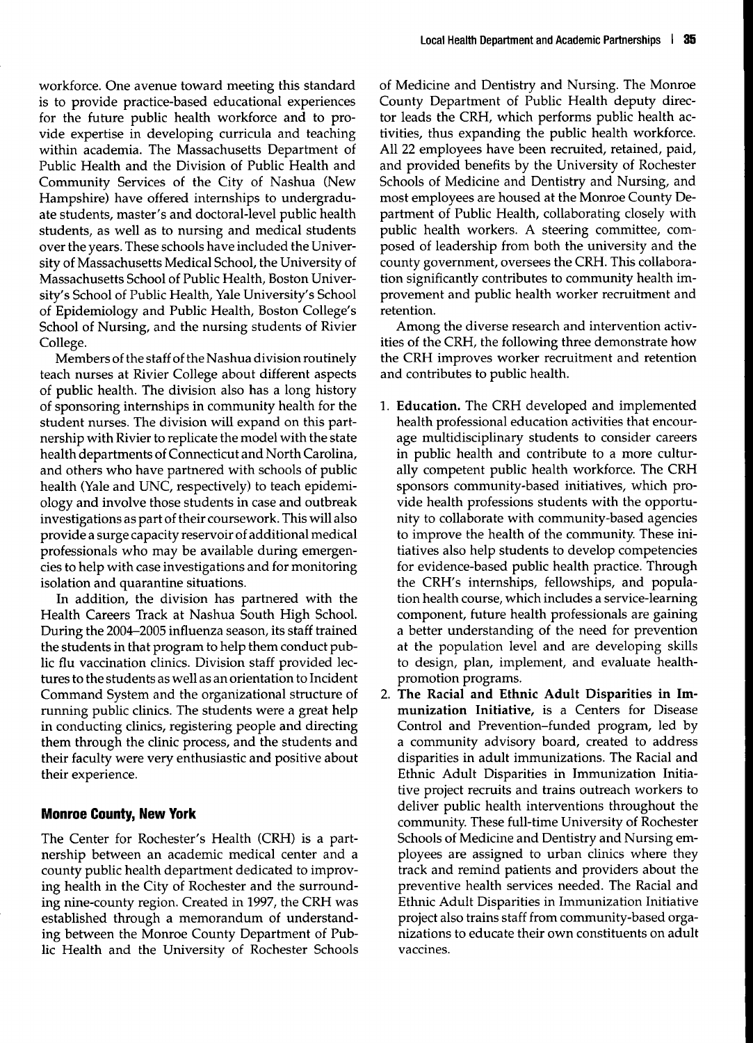workforce. One avenue toward meeting this standard is to provide practice-based educational experiences for the future public health workforce and to provide expertise in developing curricula and teaching within academia. The Massachusetts Department of Public Health and the Division of Public Health and Community Services of the City of Nashua (New Hampshire) have offered internships to undergraduate students, master's and doctoral-level public health students, as well as to nursing and medical students over the years. These schools have included the University of Massachusetts Medical School, the University of Massachusetts School of Public Health, Boston University's School of Public Health, Yale University's School of Epidemiology and Public Health, Boston College's School of Nursing, and the nursing students of Rivier College.

Members of the staff of the Nashua division routinely teach nurses at Rivier College about different aspects of public health. The division also has a long history of sponsoring internships in community health for the student nurses. The division will expand on this partnership with Rivier to replicate the model with the state health departments of Connecticut and North Carolina, and others who have partnered with schools of public health (Yale and UNC, respectively) to teach epidemiology and involve those students in case and outbreak investigations as part of their coursework. This will also provide a surge capacity reservoir of additional medical professionals who may be available during emergencies to help with case investigations and for monitoring isolation and quarantine situations.

In addition, the division has partnered with the Health Careers Track at Nashua South High School. During the 2004-2005 influenza season, its staff trained the students in that program to help them conduct public flu vaccination clinics. Division staff provided lectures to the students as well as an orientation to Incident Command System and the organizational structure of running public clinics. The students were a great help in conducting clinics, registering people and directing them through the clinic process, and the students and their faculty were very enthusiastic and positive about their experience.

## **Monroe County, New York**

The Center for Rochester's Health (CRH) is a partnership between an academic medical center and a county public health department dedicated to improving health in the City of Rochester and the surrounding nine-county region. Created in 1997, the CRH was established through a memorandum of understanding between the Monroe County Department of Public Health and the University of Rochester Schools of Medicine and Dentistry and Nursing. The Monroe County Department of Public Health deputy director leads the CRH, which performs public health activities, thus expanding the public health workforce. All 22 employees have been recruited, retained, paid, and provided benefits by the University of Rochester Schools of Medicine and Dentistry and Nursing, and most employees are housed at the Monroe County Department of Public Health, collaborating closely with public health workers. A steering committee, composed of leadership from both the university and the county government, oversees the CRH. This collaboration significantly contributes to community health improvement and public health worker recruitment and retention.

Among the diverse research and intervention activities of the CRH, the following three demonstrate how the CRH improves worker recruitment and retention and contributes to public health.

- 1. **Education.** The CRH developed and implemented health professional education activities that encourage multidisciplinary students to consider careers in public health and contribute to a more culturally competent public health workforce. The CRH sponsors community-based initiatives, which provide health professions students with the opportunity to collaborate with community-based agencies to improve the health of the community. These initiatives also help students to develop competencies for evidence-based public health practice. Through the CRH's internships, fellowships, and population health course, which includes a service-learning component, future health professionals are gaining a better understanding of the need for prevention at the population level and are developing skills to design, plan, implement, and evaluate healthpromotion programs.
- 2. **The Racial and Ethnic Adult Disparities in Immunization Initiative,** is a Centers for Disease Control and Prevention-funded program, led by a community advisory board, created to address disparities in adult immunizations. The Racial and Ethnic Adult Disparities in Immunization Initiative project recruits and trains outreach workers to deliver public health interventions throughout the community. These full-time University of Rochester Schools of Medicine and Dentistry and Nursing employees are assigned to urban clinics where they track and remind patients and providers about the preventive health services needed. The Racial and Ethnic Adult Disparities in Immunization Initiative project also trains staff from community-based organizations to educate their own constituents on adult vaccines.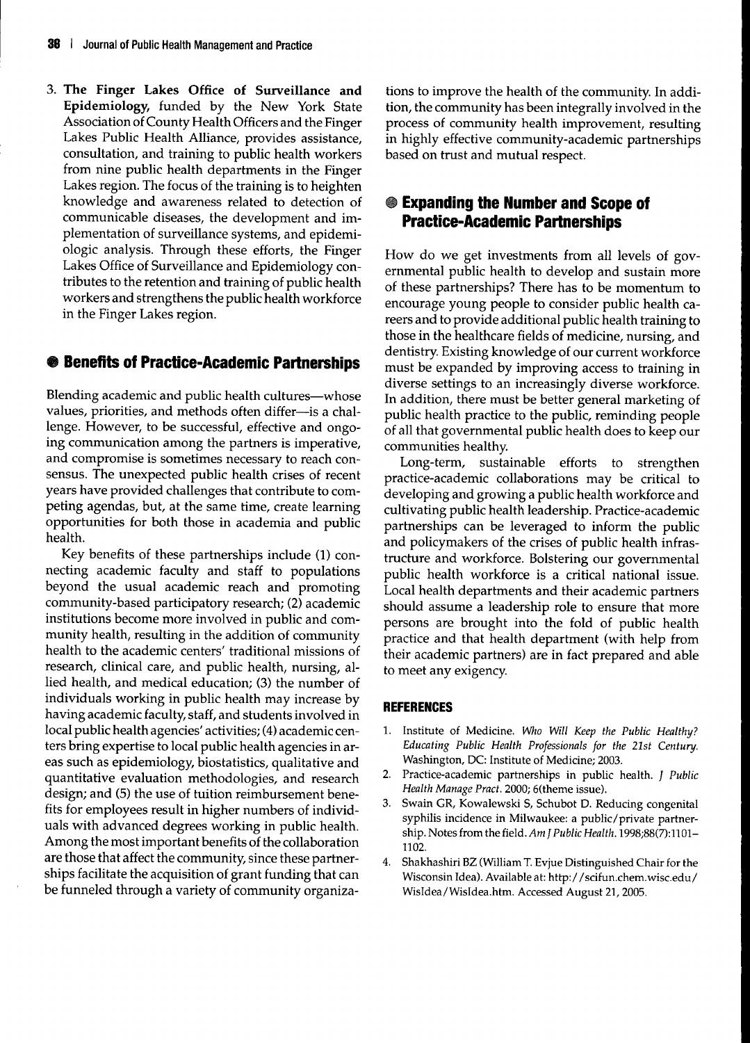**3. The Finger Lakes Office of Surveillance and Epidemiology,** funded by the New York State Association of County Health Officers and the Finger Lakes Public Health Alliance, provides assistance, consultation, and training to public health workers from nine public health departments in the Finger Lakes region. The focus of the training is to heighten knowledge and awareness related to detection of communicable diseases, the development and implementation of surveillance systems, and epidemiologic analysis. Through these efforts, the Finger Lakes Office of Surveillance and Epidemiology contributes to the retention and training of public health workers and strengthens the public health workforce in the Finger Lakes region.

# **Benefits of Practice-Academic Partnerships**

Blending academic and public health cultures—whose values, priorities, and methods often differ—is a challenge. However, to be successful, effective and ongoing communication among the partners is imperative, and compromise is sometimes necessary to reach consensus. The unexpected public health crises of recent years have provided challenges that contribute to competing agendas, but, at the same time, create learning opportunities for both those in academia and public health.

Key benefits of these partnerships include (1) connecting academic faculty and staff to populations beyond the usual academic reach and promoting community-based participatory research; (2) academic institutions become more involved in public and community health, resulting in the addition of community health to the academic centers' traditional missions of research, clinical care, and public health, nursing, allied health, and medical education; (3) the number of individuals working in public health may increase by having academic faculty, staff, and students involved in local public health agencies' activities; (4) academic centers bring expertise to local public health agencies in areas such as epidemiology, biostatistics, qualitative and quantitative evaluation methodologies, and research design; and (5) the use of tuition reimbursement benefits for employees result in higher numbers of individuals with advanced degrees working in public health. Among the most important benefits of the collaboration are those that affect the community, since these partnerships facilitate the acquisition of grant funding that can be funneled through a variety of community organizations to improve the health of the community. In addition, the community has been integrally involved in the process of community health improvement, resulting in highly effective community-academic partnerships based on trust and mutual respect.

# **• Expanding tiie Number and Scope of Practice-Academic Partnerships**

How do we get investments from all levels of governmental public health to develop and sustain more of these partnerships? There has to be momentum to encourage young people to consider public health careers and to provide additional public health training to those in the healthcare fields of medicine, nursing, and dentistry. Existing knowledge of our current workforce must be expanded by improving access to training in diverse settings to an increasingly diverse workforce. In addition, there must be better general marketing of public health practice to the public, reminding people of all that governmental public health does to keep our communities healthy.

Long-term, sustainable efforts to strengthen practice-academic collaborations may be critical to developing and growing a public health workforce and cultivating public health leadership. Practice-academic partnerships can be leveraged to inform the public and policymakers of the crises of public health infrastructure and workforce. Bolstering our governmental public health workforce is a critical national issue. Local health departments and their academic partners should assume a leadership role to ensure that more persons are brought into the fold of public health practice and that health department (with help from their academic partners) are in fact prepared and able to meet any exigency.

### **REFERENCES**

- 1. Institute of Medicine. *Who Will Keep the Public Healthy? Educating Public Health Professionals for the 21st Century.* Washington, DC: Institute of Medicine; 2003.
- 2. Practice-academic partnerships in public health. / *Public Health Manage Pract.* 2000; 6(theme issue).
- 3. Swain GR, Kowalewski S, Schubot D. Reducing congenital syphilis incidence in Milwaukee: a public/private partnership. Notes from the field. Am J Public Health. 1998;88(7):1101-1102.
- 4. Shakhashiri BZ (William T. Evjue Distinguished Chair for the Wisconsin Idea). Available at: http://scifun.chem.wisc.edu/ Wisldea/Wisldea.htm. Accessed August 21, 2005.